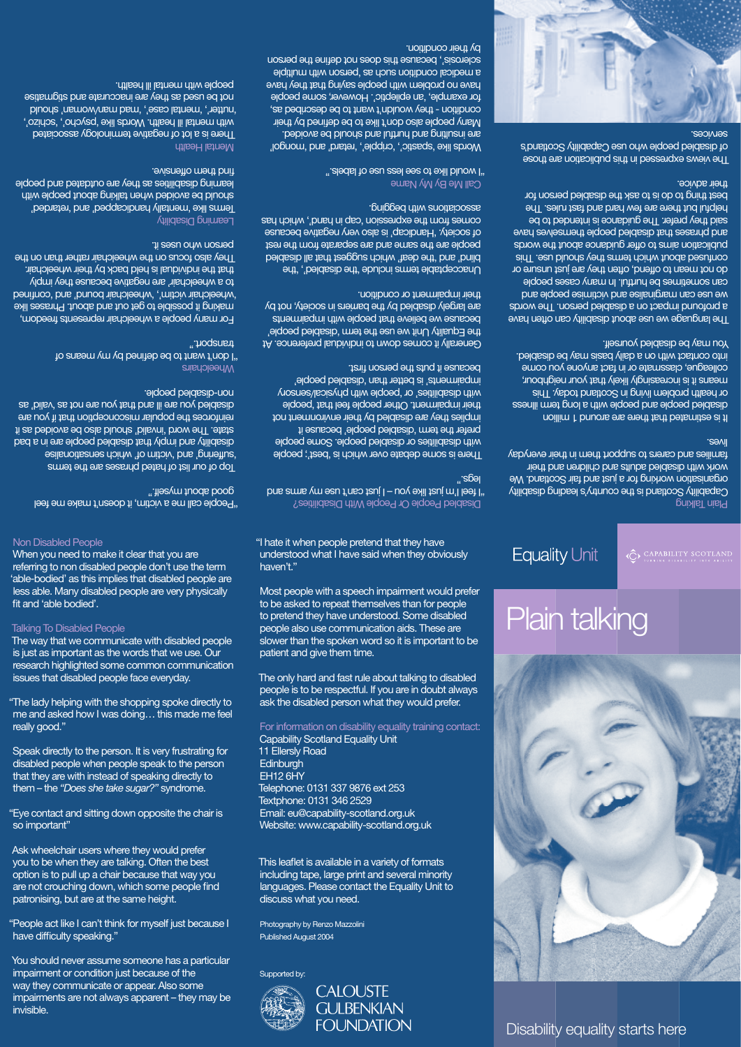Non Disabled People

When you need to make it clear that you are referring to non disabled people don't use the term 'able-bodied' as this implies that disabled people are less able. Many disabled people are very physically fit and 'able bodied'.

Talking To Disabled People

The way that we communicate with disabled people is just as important as the words that we use. Our research highlighted some common communication issues that disabled people face everyday.

"The lady helping with the shopping spoke directly to me and asked how I was doing… this made me feel really good."

"People act like I can't think for myself just because I have difficulty speaking."

Speak directly to the person. It is very frustrating for disabled people when people speak to the person that they are with instead of speaking directly to them – the *"Does she take sugar?"* syndrome.

"Eye contact and sitting down opposite the chair is so important"

Ask wheelchair users where they would prefer you to be when they are talking. Often the best option is to pull up a chair because that way you are not crouching down, which some people find patronising, but are at the same height.

This leaflet is available in a variety of formats including tape, large print and several minority languages. Please contact the Equality Unit to discuss what you need.

You should never assume someone has a particular impairment or condition just because of the way they communicate or appear. Also some impairments are not always apparent – they may be invisible.

Capability Scotland is the country's leading grides organisation working for a just and fair Scotland. We work with disabled adults and children and their families and carers to support them in their everyday lives.

"I hate it when people pretend that they have understood what I have said when they obviously haven't."

Most people with a speech impairment would prefer to be asked to repeat themselves than for people to pretend they have understood. Some disabled people also use communication aids. These are slower than the spoken word so it is important to be patient and give them time.

The views expressed in this publication are those of disabled people who use Capability Scotland's seprvices.



The only hard and fast rule about talking to disabled people is to be respectful. If you are in doubt always ask the disabled person what they would prefer.

For information on disability equality training contact: Capability Scotland Equality Unit 11 Ellersly Road **Edinburgh** EH12 6HY Telephone: 0131 337 9876 ext 253

Textphone: 0131 346 2529 Email: eu@capability-scotland.org.uk Website: www.capability-scotland.org.uk

Photography by Renzo Mazzolini Published August 2004

Supported by:



# Plain talking

**Equality Unit** 

 $\langle \mathbf{Q} \rangle \xrightarrow[\texttt{UBRIBBILITY} \texttt{SCOTLAND}]$ 

### Plain Talking

Disability equality starts here

"People call me a victim, it doesn't make me feel good about myself."

It is estimated that there are around 1 million disabled people and people with a long term illness or health problem living in Scotland today. This means it is increasingly likely that your neighbour, colleague, classmate or in fact anyone you come into contact with on a daily basis may be disabled. You may be disabled yourself.

Terms like 'mentally handicapped' and 'retarded' should be avoided when talking about people with learning disabilities as they are outdated and people find them offensive.

The language we use about disability can often have a profound impact on a disabled person. The words we use can marginalise and victimise people and can sometimes be huttul. In many cases people do not mean to offend, often they are just unsure or confused about which they are they should use. I his publication aims to offer guidance about the words and phrases that disabled people themselves have said they prefer. The guidance is intended to be helpful but there are few hard and fast rules. The best thing to do is to ask the disabled person for their advice.

Disabled People Or People With Disabilities?  $I$  i feel I'm just like you – I just can't use my arms and legs."

There is some debate over which is 'best'; people with disabilities or disabled people. Some people prefer the term 'disabled people' because it implies they are disabled by their environment not their impairment. Other people feel that 'people with disabilities' or 'people with physical/sensory impairments' is better than 'disabled people' because it puts the person fi rst.

Generally it comes down to individual preference. At the Equality Unit we use the term ideopled people' because we believe that people with impairments are largely disabled by the barriers in society, not by their impairment or condition.

Unacceptable terms include 'the disabled', 'the blind' and 'the deaf' which suggest that all disabled people are the same and are separate from the rest of society. 'Handicap' is also very negative because comes from the expressions, under the which has associations with begging.

## Call Me By My Name

"I would like to see less use of labels."

Words like 'spastic', 'cripple', 'retard' and 'mongol' are insulting and principle and shorted. Many people also don't like to be defined by their condition - they wouldn't want to be described as, for example, 'an epileptic'. However, some people have no problem with people saying that they have a medical condition such as day as in thultiple sclerosis', because this does not define the person by their condition.



Top of our list of hated phrases are the terms 'suffering' and 'victim of' which sensationalise disability and imply that disabled people are in a bad state. The word 'invalid' should also be avoided as it reinforces the popular misconception that if you are disabled you are ill and that you are not as 'valid' as non-disabled people.

### Wheelchairs

"I don't want to be defi ned by my means of transport."

For many people a wheelchair represents freedom, making it possible to get out and about. Phrases like benifined' and is deelchair bound' and 'confined' to a wheelchair' are negative because they imply that the individual is held back by their wheelchair. They also focus on the wheelchair rather than on the person who uses it.

## Learning Disability

### Mental Health

There is a lot of negative terminology associated with mental ill health. Words like 'psycho', 'schizo', 'nutter', 'mental case', 'mad man/woman' should not be used as they are inaccurate and stigmatise people with mental ill health.